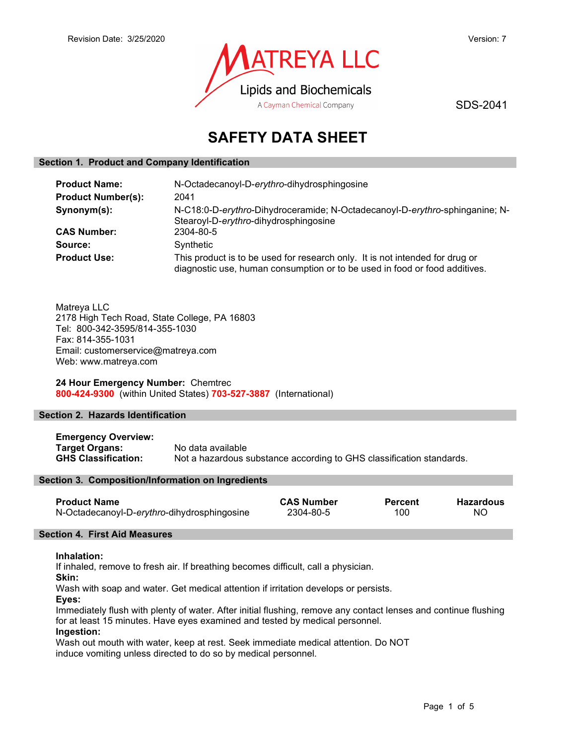

SDS-2041

# SAFETY DATA SHEET

### Section 1. Product and Company Identification

| <b>Product Name:</b>      | N-Octadecanoyl-D-erythro-dihydrosphingosine                                                                                                                |  |
|---------------------------|------------------------------------------------------------------------------------------------------------------------------------------------------------|--|
| <b>Product Number(s):</b> | 2041                                                                                                                                                       |  |
| Synonym(s):               | N-C18:0-D-erythro-Dihydroceramide; N-Octadecanoyl-D-erythro-sphinganine; N-<br>Stearoyl-D-erythro-dihydrosphingosine                                       |  |
| <b>CAS Number:</b>        | 2304-80-5                                                                                                                                                  |  |
| Source:                   | Synthetic                                                                                                                                                  |  |
| <b>Product Use:</b>       | This product is to be used for research only. It is not intended for drug or<br>diagnostic use, human consumption or to be used in food or food additives. |  |

Matreya LLC 2178 High Tech Road, State College, PA 16803 Tel: 800-342-3595/814-355-1030 Fax: 814-355-1031 Email: customerservice@matreya.com Web: www.matreya.com

24 Hour Emergency Number: Chemtrec 800-424-9300 (within United States) 703-527-3887 (International)

# Section 2. Hazards Identification

Emergency Overview: Target Organs: No data available GHS Classification: Not a hazardous substance according to GHS classification standards.

#### Section 3. Composition/Information on Ingredients

| <b>Product Name</b>                         | <b>CAS Number</b> | <b>Percent</b> | <b>Hazardous</b> |
|---------------------------------------------|-------------------|----------------|------------------|
| N-Octadecanoyl-D-erythro-dihydrosphingosine | 2304-80-5         | 100            | ΝO               |

# Section 4. First Aid Measures

# Inhalation:

If inhaled, remove to fresh air. If breathing becomes difficult, call a physician.

Skin:

Wash with soap and water. Get medical attention if irritation develops or persists.

Eyes:

Immediately flush with plenty of water. After initial flushing, remove any contact lenses and continue flushing for at least 15 minutes. Have eyes examined and tested by medical personnel.

# Ingestion:

Wash out mouth with water, keep at rest. Seek immediate medical attention. Do NOT induce vomiting unless directed to do so by medical personnel.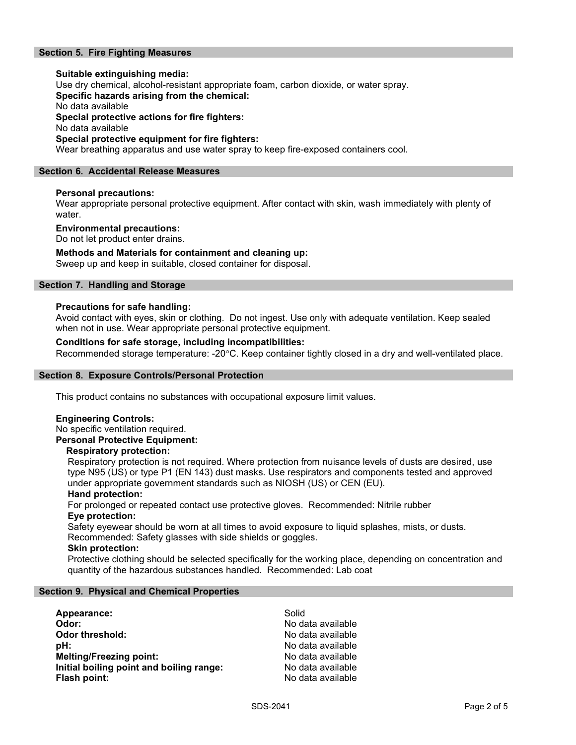# Section 5. Fire Fighting Measures

# Suitable extinguishing media: Use dry chemical, alcohol-resistant appropriate foam, carbon dioxide, or water spray. Specific hazards arising from the chemical: No data available Special protective actions for fire fighters: No data available Special protective equipment for fire fighters:

Wear breathing apparatus and use water spray to keep fire-exposed containers cool.

# Section 6. Accidental Release Measures

# Personal precautions:

Wear appropriate personal protective equipment. After contact with skin, wash immediately with plenty of water.

#### Environmental precautions:

Do not let product enter drains.

#### Methods and Materials for containment and cleaning up:

Sweep up and keep in suitable, closed container for disposal.

# Section 7. Handling and Storage

#### Precautions for safe handling:

Avoid contact with eyes, skin or clothing. Do not ingest. Use only with adequate ventilation. Keep sealed when not in use. Wear appropriate personal protective equipment.

# Conditions for safe storage, including incompatibilities:

Recommended storage temperature: -20°C. Keep container tightly closed in a dry and well-ventilated place.

#### Section 8. Exposure Controls/Personal Protection

This product contains no substances with occupational exposure limit values.

#### Engineering Controls:

No specific ventilation required. Personal Protective Equipment:

#### Respiratory protection:

Respiratory protection is not required. Where protection from nuisance levels of dusts are desired, use type N95 (US) or type P1 (EN 143) dust masks. Use respirators and components tested and approved under appropriate government standards such as NIOSH (US) or CEN (EU).

#### Hand protection:

For prolonged or repeated contact use protective gloves. Recommended: Nitrile rubber Eye protection:

Safety eyewear should be worn at all times to avoid exposure to liquid splashes, mists, or dusts. Recommended: Safety glasses with side shields or goggles.

#### Skin protection:

Protective clothing should be selected specifically for the working place, depending on concentration and quantity of the hazardous substances handled. Recommended: Lab coat

#### Section 9. Physical and Chemical Properties

| Appearance:                              | Solid             |
|------------------------------------------|-------------------|
| Odor:                                    | No data available |
| Odor threshold:                          | No data available |
| pH:                                      | No data available |
| <b>Melting/Freezing point:</b>           | No data available |
| Initial boiling point and boiling range: | No data available |
| Flash point:                             | No data available |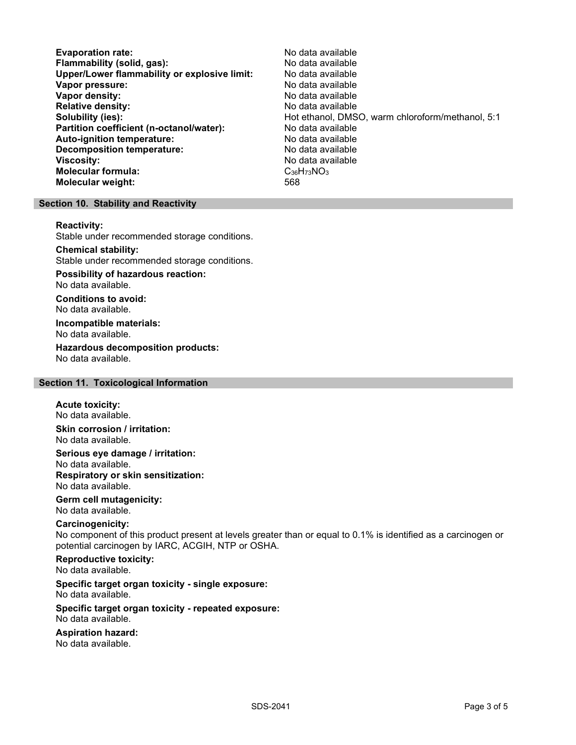Evaporation rate: No data available Flammability (solid, gas):<br>
Upper/Lower flammability or explosive limit: No data available Upper/Lower flammability or explosive limit: Vapor pressure:  $\blacksquare$ Vapor density: No data available Relative density:<br>
Solubility (ies):<br>
Solubility (ies):<br>
No data available Partition coefficient (n-octanol/water): No data available Auto-ignition temperature: No data available Decomposition temperature: No data available **Viscosity:** No data available Molecular formula: C<sub>36</sub>H<sub>73</sub>NO<sub>3</sub> Molecular weight: 568

Hot ethanol, DMSO, warm chloroform/methanol, 5:1

#### Section 10. Stability and Reactivity

#### Reactivity:

Stable under recommended storage conditions.

### Chemical stability:

Stable under recommended storage conditions.

# Possibility of hazardous reaction:

No data available.

Conditions to avoid: No data available.

#### Incompatible materials: No data available.

Hazardous decomposition products: No data available.

# Section 11. Toxicological Information

# Acute toxicity:

No data available.

Skin corrosion / irritation: No data available.

Serious eye damage / irritation: No data available. Respiratory or skin sensitization: No data available.

#### Germ cell mutagenicity: No data available.

# Carcinogenicity:

No component of this product present at levels greater than or equal to 0.1% is identified as a carcinogen or potential carcinogen by IARC, ACGIH, NTP or OSHA.

# Reproductive toxicity:

No data available.

# Specific target organ toxicity - single exposure:

No data available.

#### Specific target organ toxicity - repeated exposure: No data available.

# Aspiration hazard:

No data available.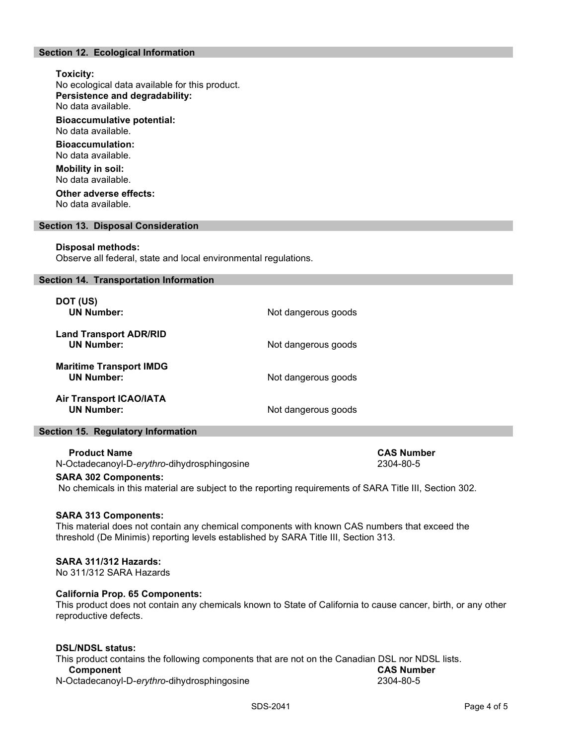# Section 12. Ecological Information

# Toxicity:

No ecological data available for this product. Persistence and degradability: No data available.

Bioaccumulative potential: No data available.

Bioaccumulation: No data available.

Mobility in soil: No data available.

Other adverse effects: No data available.

#### Section 13. Disposal Consideration

#### Disposal methods:

Observe all federal, state and local environmental regulations.

#### Section 14. Transportation Information

| DOT (US)<br><b>UN Number:</b>                       | Not dangerous goods |
|-----------------------------------------------------|---------------------|
| <b>Land Transport ADR/RID</b><br><b>UN Number:</b>  | Not dangerous goods |
| <b>Maritime Transport IMDG</b><br><b>UN Number:</b> | Not dangerous goods |
| <b>Air Transport ICAO/IATA</b><br><b>UN Number:</b> | Not dangerous goods |

#### Section 15. Regulatory Information

#### Product Name CAS Number CAS Number

N-Octadecanoyl-D-erythro-dihydrosphingosine 2304-80-5

#### SARA 302 Components:

No chemicals in this material are subject to the reporting requirements of SARA Title III, Section 302.

#### SARA 313 Components:

This material does not contain any chemical components with known CAS numbers that exceed the threshold (De Minimis) reporting levels established by SARA Title III, Section 313.

# SARA 311/312 Hazards:

No 311/312 SARA Hazards

#### California Prop. 65 Components:

This product does not contain any chemicals known to State of California to cause cancer, birth, or any other reproductive defects.

# DSL/NDSL status:

This product contains the following components that are not on the Canadian DSL nor NDSL lists. **Component**<br>
CAS Number<br>
2304-80-5<br>
2304-80-5

N-Octadecanoyl-D-erythro-dihydrosphingosine